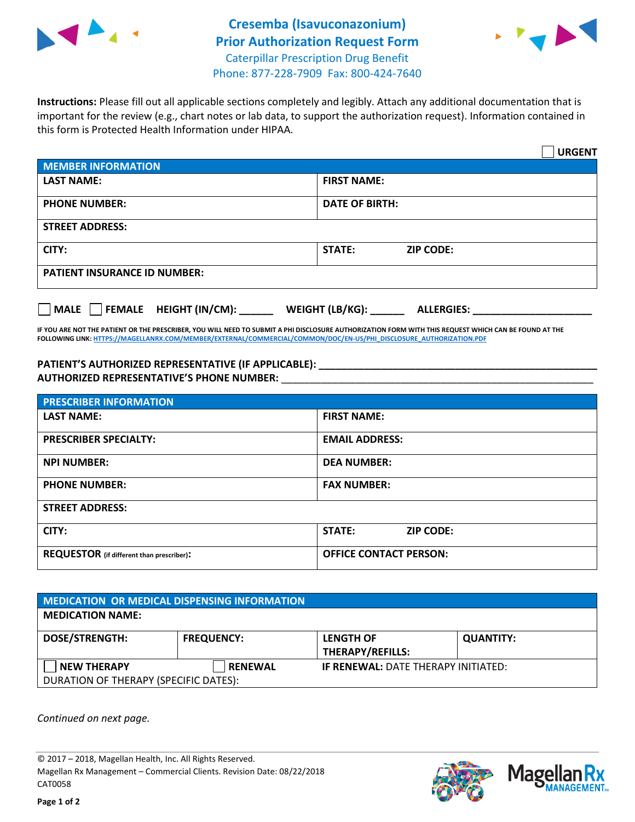



**Instructions:** Please fill out all applicable sections completely and legibly. Attach any additional documentation that is important for the review (e.g., chart notes or lab data, to support the authorization request). Information contained in this form is Protected Health Information under HIPAA.

|                                                | <b>URGENT</b>                        |  |  |  |
|------------------------------------------------|--------------------------------------|--|--|--|
| <b>MEMBER INFORMATION</b>                      |                                      |  |  |  |
| <b>LAST NAME:</b>                              | <b>FIRST NAME:</b>                   |  |  |  |
| <b>PHONE NUMBER:</b>                           | <b>DATE OF BIRTH:</b>                |  |  |  |
| <b>STREET ADDRESS:</b>                         |                                      |  |  |  |
| CITY:                                          | <b>STATE:</b><br><b>ZIP CODE:</b>    |  |  |  |
| <b>PATIENT INSURANCE ID NUMBER:</b>            |                                      |  |  |  |
| $\Box$ FEMALE HEIGHT (IN/CM): _<br><b>MALE</b> | WEIGHT (LB/KG):<br><b>ALLERGIES:</b> |  |  |  |

**IF YOU ARE NOT THE PATIENT OR THE PRESCRIBER, YOU WILL NEED TO SUBMIT A PHI DISCLOSURE AUTHORIZATION FORM WITH THIS REQUEST WHICH CAN BE FOUND AT THE FOLLOWING LINK[: HTTPS://MAGELLANRX.COM/MEMBER/EXTERNAL/COMMERCIAL/COMMON/DOC/EN-US/PHI\\_DISCLOSURE\\_AUTHORIZATION.PDF](https://magellanrx.com/member/external/commercial/common/doc/en-us/PHI_Disclosure_Authorization.pdf)**

**PATIENT'S AUTHORIZED REPRESENTATIVE (IF APPLICABLE): \_\_\_\_\_\_\_\_\_\_\_\_\_\_\_\_\_\_\_\_\_\_\_\_\_\_\_\_\_\_\_\_\_\_\_\_\_\_\_\_\_\_\_\_\_\_\_\_\_ AUTHORIZED REPRESENTATIVE'S PHONE NUMBER:** \_\_\_\_\_\_\_\_\_\_\_\_\_\_\_\_\_\_\_\_\_\_\_\_\_\_\_\_\_\_\_\_\_\_\_\_\_\_\_\_\_\_\_\_\_\_\_\_\_\_\_\_\_\_\_

| <b>PRESCRIBER INFORMATION</b>             |                               |  |  |  |
|-------------------------------------------|-------------------------------|--|--|--|
| <b>LAST NAME:</b>                         | <b>FIRST NAME:</b>            |  |  |  |
| <b>PRESCRIBER SPECIALTY:</b>              | <b>EMAIL ADDRESS:</b>         |  |  |  |
| <b>NPI NUMBER:</b>                        | <b>DEA NUMBER:</b>            |  |  |  |
| <b>PHONE NUMBER:</b>                      | <b>FAX NUMBER:</b>            |  |  |  |
| <b>STREET ADDRESS:</b>                    |                               |  |  |  |
| CITY:                                     | STATE:<br><b>ZIP CODE:</b>    |  |  |  |
| REQUESTOR (if different than prescriber): | <b>OFFICE CONTACT PERSON:</b> |  |  |  |

| MEDICATION OR MEDICAL DISPENSING INFORMATION |                   |                                            |                  |  |  |
|----------------------------------------------|-------------------|--------------------------------------------|------------------|--|--|
| <b>MEDICATION NAME:</b>                      |                   |                                            |                  |  |  |
| <b>DOSE/STRENGTH:</b>                        | <b>FREQUENCY:</b> | <b>LENGTH OF</b>                           | <b>QUANTITY:</b> |  |  |
|                                              |                   | <b>THERAPY/REFILLS:</b>                    |                  |  |  |
| <b>NEW THERAPY</b>                           | <b>RENEWAL</b>    | <b>IF RENEWAL: DATE THERAPY INITIATED:</b> |                  |  |  |
| DURATION OF THERAPY (SPECIFIC DATES):        |                   |                                            |                  |  |  |

*Continued on next page.*

© 2017 – 2018, Magellan Health, Inc. All Rights Reserved. Magellan Rx Management – Commercial Clients. Revision Date: 08/22/2018 CAT0058